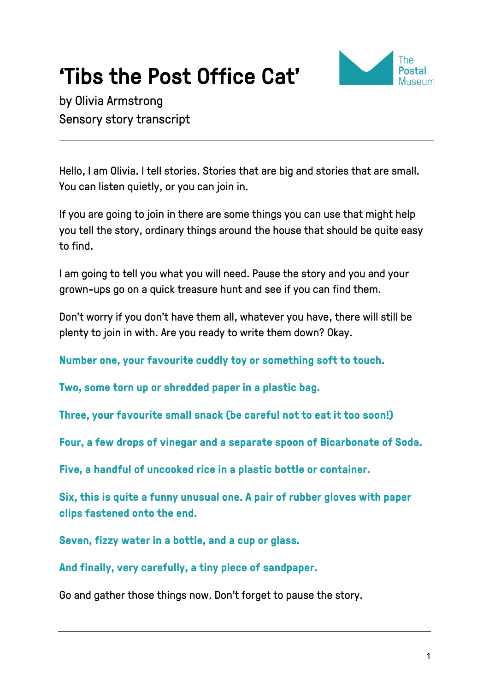# **'Tibs the Post Office Cat'**<br>by Olivia Armstrong



Sensory story transcript

Hello, I am Olivia. I tell stories. Stories that are big and stories that are small. You can listen quietly, or you can join in.

If you are going to join in there are some things you can use that might help you tell the story, ordinary things around the house that should be quite easy to find.

I am going to tell you what you will need. Pause the story and you and your grown-ups go on a quick treasure hunt and see if you can find them.

Don't worry if you don't have them all, whatever you have, there will still be plenty to join in with. Are you ready to write them down? Okay.

**Number one, your favourite cuddly toy or something soft to touch.**

**Two, some torn up or shredded paper in a plastic bag.**

**Three, your favourite small snack (be careful not to eat it too soon!)**

**Four, a few drops of vinegar and a separate spoon of Bicarbonate of Soda.**

**Five, a handful of uncooked rice in a plastic bottle or container.**

**Six, this is quite a funny unusual one. A pair of rubber gloves with paper clips fastened onto the end.**

**Seven, fizzy water in a bottle, and a cup or glass.**

**And finally, very carefully, a tiny piece of sandpaper.**

Go and gather those things now. Don't forget to pause the story.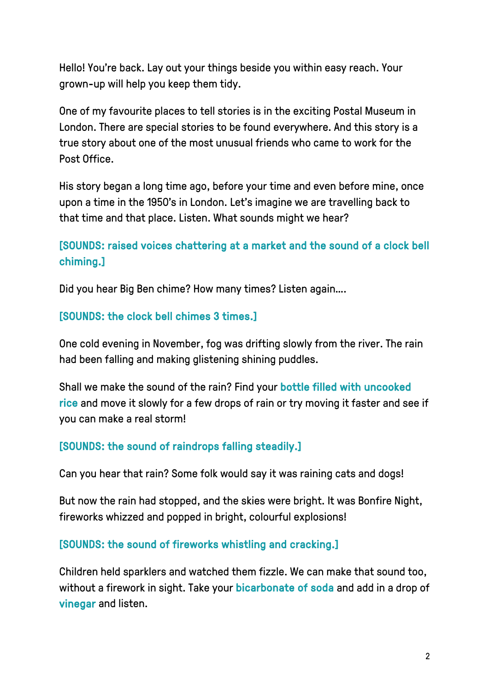Hello! You're back. Lay out your things beside you within easy reach. Your grown-up will help you keep them tidy.

One of my favourite places to tell stories is in the exciting Postal Museum in London. There are special stories to be found everywhere. And this story is a true story about one of the most unusual friends who came to work for the Post Office.

His story began a long time ago, before your time and even before mine, once upon a time in the 1950's in London. Let's imagine we are travelling back to that time and that place. Listen. What sounds might we hear?

## [SOUNDS: raised voices chattering at a market and the sound of a clock bell chiming.]

Did you hear Big Ben chime? How many times? Listen again….

#### [SOUNDS: the clock bell chimes 3 times.]

One cold evening in November, fog was drifting slowly from the river. The rain had been falling and making glistening shining puddles.

Shall we make the sound of the rain? Find your bottle filled with uncooked rice and move it slowly for a few drops of rain or try moving it faster and see if you can make a real storm!

## [SOUNDS: the sound of raindrops falling steadily.]

Can you hear that rain? Some folk would say it was raining cats and dogs!

But now the rain had stopped, and the skies were bright. It was Bonfire Night, fireworks whizzed and popped in bright, colourful explosions!

#### [SOUNDS: the sound of fireworks whistling and cracking.]

Children held sparklers and watched them fizzle. We can make that sound too, without a firework in sight. Take your bicarbonate of soda and add in a drop of vinegar and listen.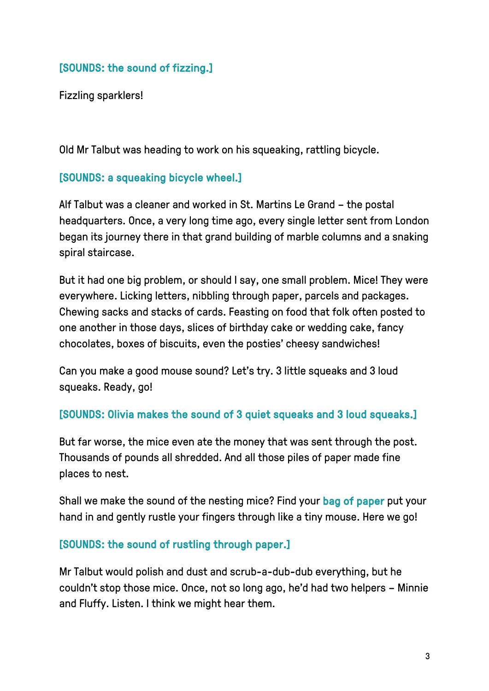## [SOUNDS: the sound of fizzing.]

Fizzling sparklers!

Old Mr Talbut was heading to work on his squeaking, rattling bicycle.

## [SOUNDS: a squeaking bicycle wheel.]

Alf Talbut was a cleaner and worked in St. Martins Le Grand – the postal headquarters. Once, a very long time ago, every single letter sent from London began its journey there in that grand building of marble columns and a snaking spiral staircase.

But it had one big problem, or should I say, one small problem. Mice! They were everywhere. Licking letters, nibbling through paper, parcels and packages. Chewing sacks and stacks of cards. Feasting on food that folk often posted to one another in those days, slices of birthday cake or wedding cake, fancy chocolates, boxes of biscuits, even the posties' cheesy sandwiches!

Can you make a good mouse sound? Let's try. 3 little squeaks and 3 loud squeaks. Ready, go!

#### [SOUNDS: Olivia makes the sound of 3 quiet squeaks and 3 loud squeaks.]

But far worse, the mice even ate the money that was sent through the post. Thousands of pounds all shredded. And all those piles of paper made fine places to nest.

Shall we make the sound of the nesting mice? Find your bag of paper put your hand in and gently rustle your fingers through like a tiny mouse. Here we go!

#### [SOUNDS: the sound of rustling through paper.]

Mr Talbut would polish and dust and scrub-a-dub-dub everything, but he couldn't stop those mice. Once, not so long ago, he'd had two helpers – Minnie and Fluffy. Listen. I think we might hear them.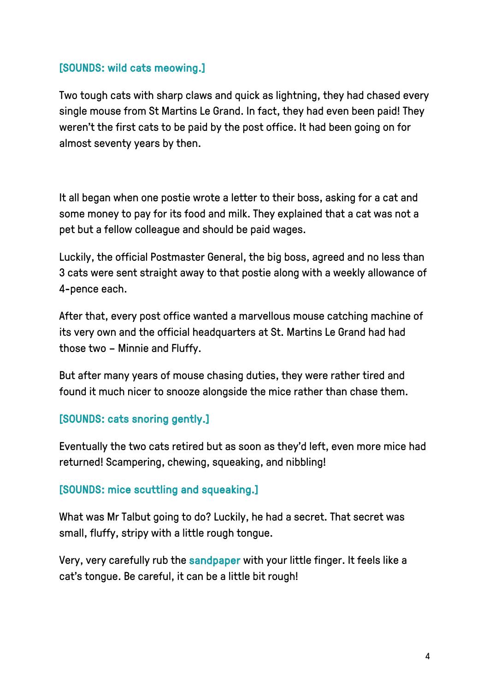### [SOUNDS: wild cats meowing.]

Two tough cats with sharp claws and quick as lightning, they had chased every single mouse from St Martins Le Grand. In fact, they had even been paid! They weren't the first cats to be paid by the post office. It had been going on for almost seventy years by then.

It all began when one postie wrote a letter to their boss, asking for a cat and some money to pay for its food and milk. They explained that a cat was not a pet but a fellow colleague and should be paid wages.

Luckily, the official Postmaster General, the big boss, agreed and no less than 3 cats were sent straight away to that postie along with a weekly allowance of 4-pence each.

After that, every post office wanted a marvellous mouse catching machine of its very own and the official headquarters at St. Martins Le Grand had had those two – Minnie and Fluffy.

But after many years of mouse chasing duties, they were rather tired and found it much nicer to snooze alongside the mice rather than chase them.

#### [SOUNDS: cats snoring gently.]

Eventually the two cats retired but as soon as they'd left, even more mice had returned! Scampering, chewing, squeaking, and nibbling!

#### [SOUNDS: mice scuttling and squeaking.]

What was Mr Talbut going to do? Luckily, he had a secret. That secret was small, fluffy, stripy with a little rough tongue.

Very, very carefully rub the sandpaper with your little finger. It feels like a cat's tongue. Be careful, it can be a little bit rough!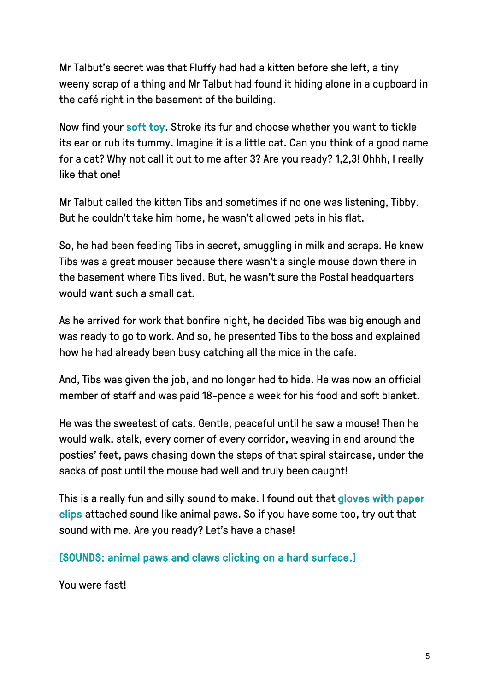Mr Talbut's secret was that Fluffy had had a kitten before she left, a tiny weeny scrap of a thing and Mr Talbut had found it hiding alone in a cupboard in the café right in the basement of the building.

Now find your soft toy. Stroke its fur and choose whether you want to tickle its ear or rub its tummy. Imagine it is a little cat. Can you think of a good name for a cat? Why not call it out to me after 3? Are you ready? 1,2,3! Ohhh, I really like that one!

Mr Talbut called the kitten Tibs and sometimes if no one was listening, Tibby. But he couldn't take him home, he wasn't allowed pets in his flat.

So, he had been feeding Tibs in secret, smuggling in milk and scraps. He knew Tibs was a great mouser because there wasn't a single mouse down there in the basement where Tibs lived. But, he wasn't sure the Postal headquarters would want such a small cat.

As he arrived for work that bonfire night, he decided Tibs was big enough and was ready to go to work. And so, he presented Tibs to the boss and explained how he had already been busy catching all the mice in the cafe.

And, Tibs was given the job, and no longer had to hide. He was now an official member of staff and was paid 18-pence a week for his food and soft blanket.

He was the sweetest of cats. Gentle, peaceful until he saw a mouse! Then he would walk, stalk, every corner of every corridor, weaving in and around the posties' feet, paws chasing down the steps of that spiral staircase, under the sacks of post until the mouse had well and truly been caught!

This is a really fun and silly sound to make. I found out that gloves with paper clips attached sound like animal paws. So if you have some too, try out that sound with me. Are you ready? Let's have a chase!

[SOUNDS: animal paws and claws clicking on a hard surface.]

You were fast!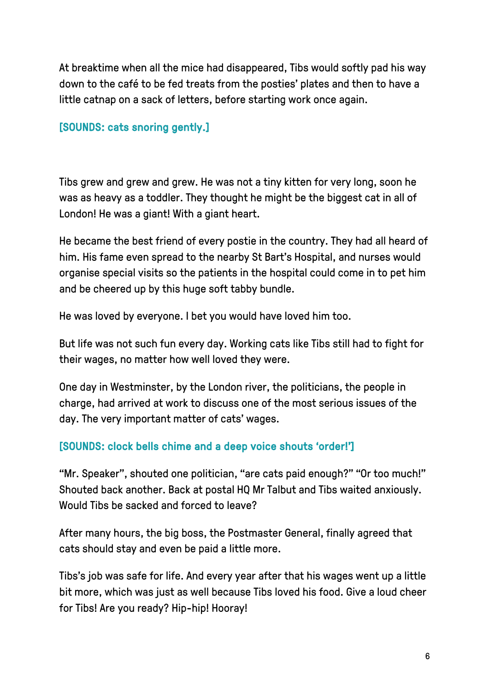At breaktime when all the mice had disappeared, Tibs would softly pad his way down to the café to be fed treats from the posties' plates and then to have a little catnap on a sack of letters, before starting work once again.

## [SOUNDS: cats snoring gently.]

Tibs grew and grew and grew. He was not a tiny kitten for very long, soon he was as heavy as a toddler. They thought he might be the biggest cat in all of London! He was a giant! With a giant heart.

He became the best friend of every postie in the country. They had all heard of him. His fame even spread to the nearby St Bart's Hospital, and nurses would organise special visits so the patients in the hospital could come in to pet him and be cheered up by this huge soft tabby bundle.

He was loved by everyone. I bet you would have loved him too.

But life was not such fun every day. Working cats like Tibs still had to fight for their wages, no matter how well loved they were.

One day in Westminster, by the London river, the politicians, the people in charge, had arrived at work to discuss one of the most serious issues of the day. The very important matter of cats' wages.

## [SOUNDS: clock bells chime and a deep voice shouts 'order!']

"Mr. Speaker", shouted one politician, "are cats paid enough?" "Or too much!" Shouted back another. Back at postal HQ Mr Talbut and Tibs waited anxiously. Would Tibs be sacked and forced to leave?

After many hours, the big boss, the Postmaster General, finally agreed that cats should stay and even be paid a little more.

Tibs's job was safe for life. And every year after that his wages went up a little bit more, which was just as well because Tibs loved his food. Give a loud cheer for Tibs! Are you ready? Hip-hip! Hooray!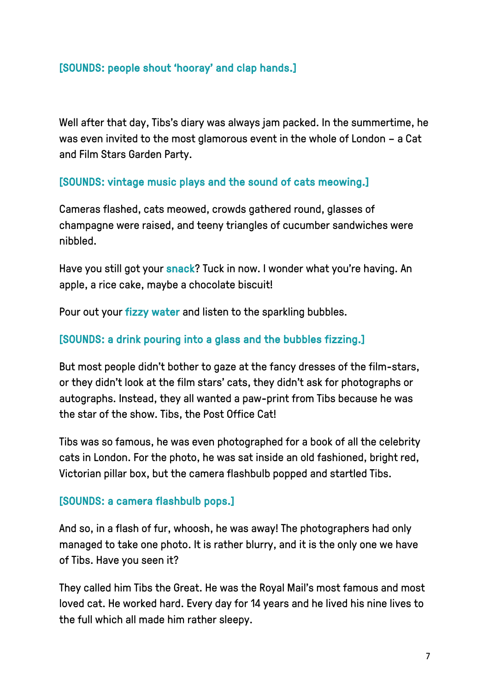## [SOUNDS: people shout 'hooray' and clap hands.]

Well after that day, Tibs's diary was always jam packed. In the summertime, he was even invited to the most glamorous event in the whole of London – a Cat and Film Stars Garden Party.

#### [SOUNDS: vintage music plays and the sound of cats meowing.]

Cameras flashed, cats meowed, crowds gathered round, glasses of champagne were raised, and teeny triangles of cucumber sandwiches were nibbled.

Have you still got your snack? Tuck in now. I wonder what you're having. An apple, a rice cake, maybe a chocolate biscuit!

Pour out your fizzy water and listen to the sparkling bubbles.

#### [SOUNDS: a drink pouring into a glass and the bubbles fizzing.]

But most people didn't bother to gaze at the fancy dresses of the film-stars, or they didn't look at the film stars' cats, they didn't ask for photographs or autographs. Instead, they all wanted a paw-print from Tibs because he was the star of the show. Tibs, the Post Office Cat!

Tibs was so famous, he was even photographed for a book of all the celebrity cats in London. For the photo, he was sat inside an old fashioned, bright red, Victorian pillar box, but the camera flashbulb popped and startled Tibs.

#### [SOUNDS: a camera flashbulb pops.]

And so, in a flash of fur, whoosh, he was away! The photographers had only managed to take one photo. It is rather blurry, and it is the only one we have of Tibs. Have you seen it?

They called him Tibs the Great. He was the Royal Mail's most famous and most loved cat. He worked hard. Every day for 14 years and he lived his nine lives to the full which all made him rather sleepy.